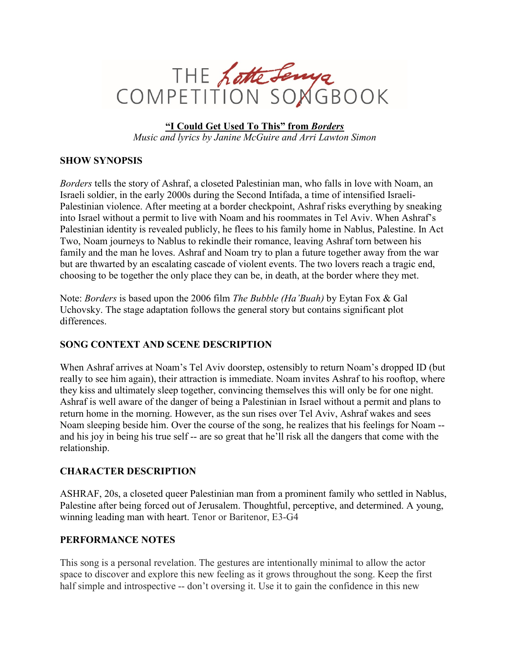

**"I Could Get Used To This" from** *Borders Music and lyrics by Janine McGuire and Arri Lawton Simon*

## **SHOW SYNOPSIS**

*Borders* tells the story of Ashraf, a closeted Palestinian man, who falls in love with Noam, an Israeli soldier, in the early 2000s during the Second Intifada, a time of intensified Israeli-Palestinian violence. After meeting at a border checkpoint, Ashraf risks everything by sneaking into Israel without a permit to live with Noam and his roommates in Tel Aviv. When Ashraf's Palestinian identity is revealed publicly, he flees to his family home in Nablus, Palestine. In Act Two, Noam journeys to Nablus to rekindle their romance, leaving Ashraf torn between his family and the man he loves. Ashraf and Noam try to plan a future together away from the war but are thwarted by an escalating cascade of violent events. The two lovers reach a tragic end, choosing to be together the only place they can be, in death, at the border where they met.

Note: *Borders* is based upon the 2006 film *The Bubble (Ha'Buah)* by Eytan Fox & Gal Uchovsky. The stage adaptation follows the general story but contains significant plot differences.

## **SONG CONTEXT AND SCENE DESCRIPTION**

When Ashraf arrives at Noam's Tel Aviv doorstep, ostensibly to return Noam's dropped ID (but really to see him again), their attraction is immediate. Noam invites Ashraf to his rooftop, where they kiss and ultimately sleep together, convincing themselves this will only be for one night. Ashraf is well aware of the danger of being a Palestinian in Israel without a permit and plans to return home in the morning. However, as the sun rises over Tel Aviv, Ashraf wakes and sees Noam sleeping beside him. Over the course of the song, he realizes that his feelings for Noam - and his joy in being his true self -- are so great that he'll risk all the dangers that come with the relationship.

## **CHARACTER DESCRIPTION**

ASHRAF, 20s, a closeted queer Palestinian man from a prominent family who settled in Nablus, Palestine after being forced out of Jerusalem. Thoughtful, perceptive, and determined. A young, winning leading man with heart. Tenor or Baritenor, E3-G4

## **PERFORMANCE NOTES**

This song is a personal revelation. The gestures are intentionally minimal to allow the actor space to discover and explore this new feeling as it grows throughout the song. Keep the first half simple and introspective -- don't oversing it. Use it to gain the confidence in this new